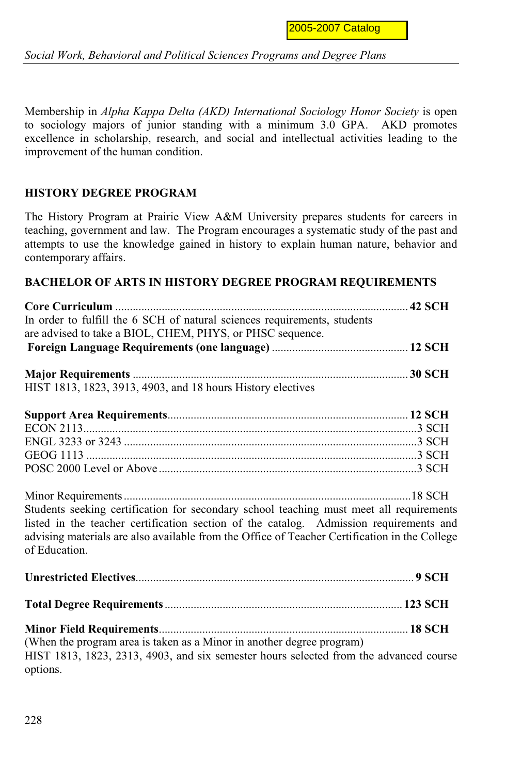*Social Work, Behavioral and Political Sciences Programs and Degree Plans*

Membership in *Alpha Kappa Delta (AKD) International Sociology Honor Society* is open to sociology majors of junior standing with a minimum 3.0 GPA. AKD promotes excellence in scholarship, research, and social and intellectual activities leading to the improvement of the human condition.

## **HISTORY DEGREE PROGRAM**

The History Program at Prairie View A&M University prepares students for careers in teaching, government and law. The Program encourages a systematic study of the past and attempts to use the knowledge gained in history to explain human nature, behavior and contemporary affairs.

## **BACHELOR OF ARTS IN HISTORY DEGREE PROGRAM REQUIREMENTS**

| In order to fulfill the 6 SCH of natural sciences requirements, students                      |  |
|-----------------------------------------------------------------------------------------------|--|
| are advised to take a BIOL, CHEM, PHYS, or PHSC sequence.                                     |  |
|                                                                                               |  |
|                                                                                               |  |
|                                                                                               |  |
| HIST 1813, 1823, 3913, 4903, and 18 hours History electives                                   |  |
|                                                                                               |  |
|                                                                                               |  |
|                                                                                               |  |
|                                                                                               |  |
|                                                                                               |  |
|                                                                                               |  |
| Students seeking certification for secondary school teaching must meet all requirements       |  |
| listed in the teacher certification section of the catalog. Admission requirements and        |  |
| advising materials are also available from the Office of Teacher Certification in the College |  |
| of Education.                                                                                 |  |
|                                                                                               |  |
|                                                                                               |  |
|                                                                                               |  |
|                                                                                               |  |
| (When the program area is taken as a Minor in another degree program)                         |  |
| HIST 1813, 1823, 2313, 4903, and six semester hours selected from the advanced course         |  |
| options.                                                                                      |  |